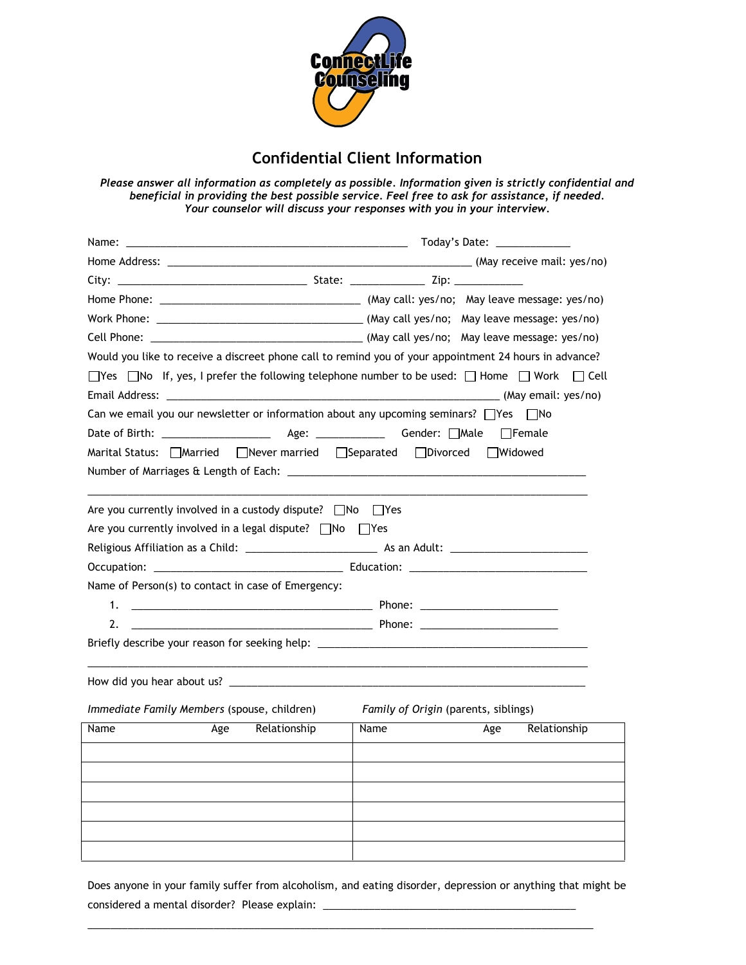

## Confidential Client Information

Please answer all information as completely as possible. Information given is strictly confidential and beneficial in providing the best possible service. Feel free to ask for assistance, if needed. Your counselor will discuss your responses with you in your interview.

|                                                                                                        | Today's Date: ____________           |  |  |  |  |  |  |
|--------------------------------------------------------------------------------------------------------|--------------------------------------|--|--|--|--|--|--|
|                                                                                                        |                                      |  |  |  |  |  |  |
|                                                                                                        |                                      |  |  |  |  |  |  |
|                                                                                                        |                                      |  |  |  |  |  |  |
|                                                                                                        |                                      |  |  |  |  |  |  |
|                                                                                                        |                                      |  |  |  |  |  |  |
| Would you like to receive a discreet phone call to remind you of your appointment 24 hours in advance? |                                      |  |  |  |  |  |  |
| □Yes □No If, yes, I prefer the following telephone number to be used: □ Home □ Work □ Cell             |                                      |  |  |  |  |  |  |
|                                                                                                        |                                      |  |  |  |  |  |  |
| Can we email you our newsletter or information about any upcoming seminars? $\Box$ Yes $\Box$ No       |                                      |  |  |  |  |  |  |
|                                                                                                        |                                      |  |  |  |  |  |  |
| Marital Status: Married Never married Separated Divorced                                               | □Widowed                             |  |  |  |  |  |  |
|                                                                                                        |                                      |  |  |  |  |  |  |
|                                                                                                        |                                      |  |  |  |  |  |  |
| Are you currently involved in a custody dispute? △ No △ Yes                                            |                                      |  |  |  |  |  |  |
| Are you currently involved in a legal dispute? $\Box$ No $\Box$ Yes                                    |                                      |  |  |  |  |  |  |
|                                                                                                        |                                      |  |  |  |  |  |  |
|                                                                                                        |                                      |  |  |  |  |  |  |
| Name of Person(s) to contact in case of Emergency:                                                     |                                      |  |  |  |  |  |  |
| 1.                                                                                                     |                                      |  |  |  |  |  |  |
| 2.                                                                                                     |                                      |  |  |  |  |  |  |
| Briefly describe your reason for seeking help: _________________________________                       |                                      |  |  |  |  |  |  |
|                                                                                                        |                                      |  |  |  |  |  |  |
|                                                                                                        |                                      |  |  |  |  |  |  |
| Immediate Family Members (spouse, children)                                                            | Family of Origin (parents, siblings) |  |  |  |  |  |  |
| Age<br>Relationship<br>Name                                                                            | Relationship<br>Name<br>Age          |  |  |  |  |  |  |
|                                                                                                        |                                      |  |  |  |  |  |  |
|                                                                                                        |                                      |  |  |  |  |  |  |
|                                                                                                        |                                      |  |  |  |  |  |  |
|                                                                                                        |                                      |  |  |  |  |  |  |
|                                                                                                        |                                      |  |  |  |  |  |  |
|                                                                                                        |                                      |  |  |  |  |  |  |
|                                                                                                        |                                      |  |  |  |  |  |  |

Does anyone in your family suffer from alcoholism, and eating disorder, depression or anything that might be considered a mental disorder? Please explain: \_\_\_\_\_\_\_\_\_\_\_\_\_\_\_\_\_\_\_\_\_\_\_\_\_\_\_\_\_\_\_\_\_\_

\_\_\_\_\_\_\_\_\_\_\_\_\_\_\_\_\_\_\_\_\_\_\_\_\_\_\_\_\_\_\_\_\_\_\_\_\_\_\_\_\_\_\_\_\_\_\_\_\_\_\_\_\_\_\_\_\_\_\_\_\_\_\_\_\_\_\_\_\_\_\_\_\_\_\_\_\_\_\_\_\_\_\_\_\_\_\_\_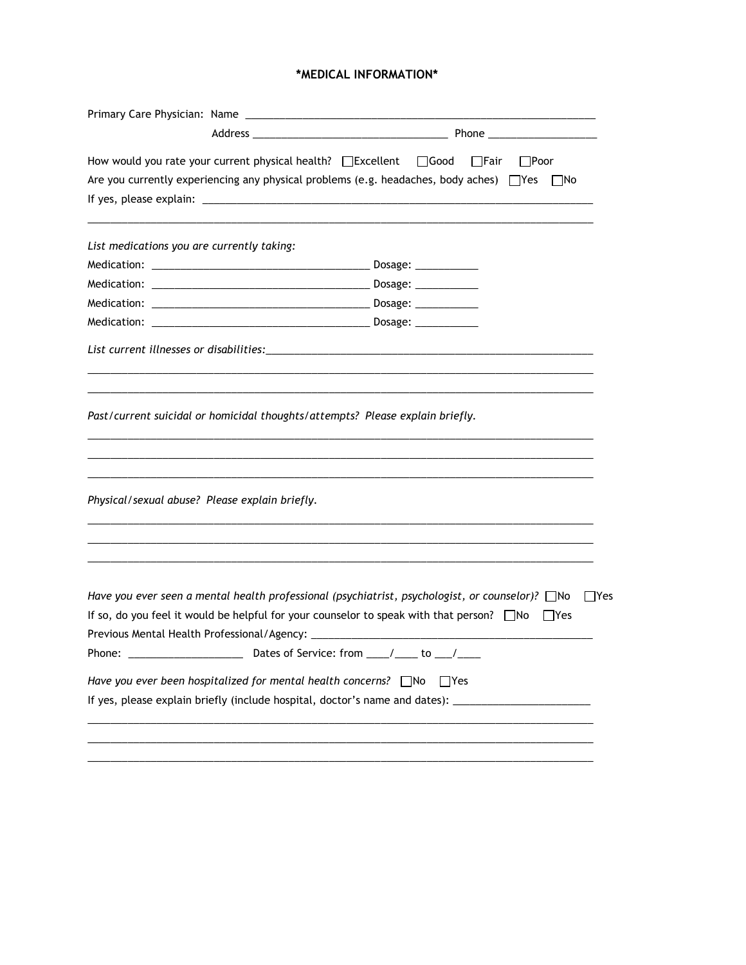## \*MEDICAL INFORMATION\*

| How would you rate your current physical health? □ Excellent □ Good           |  |  | ∏Fair<br>$\Box$ Poor                                                                                                                                                                                                        |  |  |  |
|-------------------------------------------------------------------------------|--|--|-----------------------------------------------------------------------------------------------------------------------------------------------------------------------------------------------------------------------------|--|--|--|
|                                                                               |  |  | Are you currently experiencing any physical problems (e.g. headaches, body aches) $\Box$ Yes $\Box$ No                                                                                                                      |  |  |  |
|                                                                               |  |  |                                                                                                                                                                                                                             |  |  |  |
| List medications you are currently taking:                                    |  |  |                                                                                                                                                                                                                             |  |  |  |
|                                                                               |  |  |                                                                                                                                                                                                                             |  |  |  |
|                                                                               |  |  |                                                                                                                                                                                                                             |  |  |  |
|                                                                               |  |  |                                                                                                                                                                                                                             |  |  |  |
|                                                                               |  |  |                                                                                                                                                                                                                             |  |  |  |
|                                                                               |  |  |                                                                                                                                                                                                                             |  |  |  |
| Past/current suicidal or homicidal thoughts/attempts? Please explain briefly. |  |  |                                                                                                                                                                                                                             |  |  |  |
| Physical/sexual abuse? Please explain briefly.                                |  |  |                                                                                                                                                                                                                             |  |  |  |
|                                                                               |  |  | Have you ever seen a mental health professional (psychiatrist, psychologist, or counselor)? $\Box$ No<br>  Yes<br>If so, do you feel it would be helpful for your counselor to speak with that person? $\Box$ No $\Box$ Yes |  |  |  |
|                                                                               |  |  |                                                                                                                                                                                                                             |  |  |  |
| Have you ever been hospitalized for mental health concerns? △ No △ Yes        |  |  | If yes, please explain briefly (include hospital, doctor's name and dates): ________________________                                                                                                                        |  |  |  |
|                                                                               |  |  |                                                                                                                                                                                                                             |  |  |  |